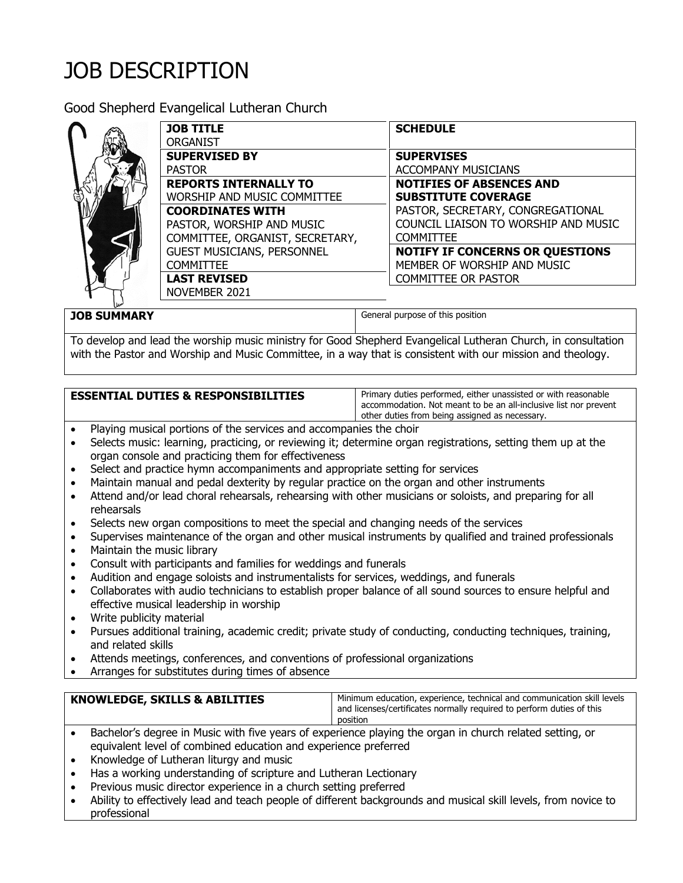## JOB DESCRIPTION

Good Shepherd Evangelical Lutheran Church



| <b>JOB TITLE</b>                  | <b>SCHEDULE</b>                        |
|-----------------------------------|----------------------------------------|
| <b>ORGANIST</b>                   |                                        |
| <b>SUPERVISED BY</b>              | <b>SUPERVISES</b>                      |
| <b>PASTOR</b>                     | <b>ACCOMPANY MUSICIANS</b>             |
| <b>REPORTS INTERNALLY TO</b>      | <b>NOTIFIES OF ABSENCES AND</b>        |
| WORSHIP AND MUSIC COMMITTEE       | <b>SUBSTITUTE COVERAGE</b>             |
| <b>COORDINATES WITH</b>           | PASTOR, SECRETARY, CONGREGATIONAL      |
| PASTOR, WORSHIP AND MUSIC         | COUNCIL LIAISON TO WORSHIP AND MUSIC   |
| COMMITTEE, ORGANIST, SECRETARY,   | <b>COMMITTEE</b>                       |
| <b>GUEST MUSICIANS, PERSONNEL</b> | <b>NOTIFY IF CONCERNS OR QUESTIONS</b> |
| <b>COMMITTEE</b>                  | MEMBER OF WORSHIP AND MUSIC            |
| <b>LAST REVISED</b>               | <b>COMMITTEE OR PASTOR</b>             |
| NOVEMBER 2021                     |                                        |

**JOB SUMMARY General purpose of this position** 

To develop and lead the worship music ministry for Good Shepherd Evangelical Lutheran Church, in consultation with the Pastor and Worship and Music Committee, in a way that is consistent with our mission and theology.

**ESSENTIAL DUTIES & RESPONSIBILITIES** | Primary duties performed, either unassisted or with reasonable accommodation. Not meant to be an all-inclusive list nor prevent other duties from being assigned as necessary.

- Playing musical portions of the services and accompanies the choir
- Selects music: learning, practicing, or reviewing it; determine organ registrations, setting them up at the organ console and practicing them for effectiveness
- Select and practice hymn accompaniments and appropriate setting for services
- Maintain manual and pedal dexterity by regular practice on the organ and other instruments
- Attend and/or lead choral rehearsals, rehearsing with other musicians or soloists, and preparing for all rehearsals
- Selects new organ compositions to meet the special and changing needs of the services
- Supervises maintenance of the organ and other musical instruments by qualified and trained professionals
- Maintain the music library
- Consult with participants and families for weddings and funerals
- Audition and engage soloists and instrumentalists for services, weddings, and funerals
- Collaborates with audio technicians to establish proper balance of all sound sources to ensure helpful and effective musical leadership in worship
- Write publicity material
- Pursues additional training, academic credit; private study of conducting, conducting techniques, training, and related skills
- Attends meetings, conferences, and conventions of professional organizations
- Arranges for substitutes during times of absence

## KNOWLEDGE, SKILLS & ABILITIES **Minimum education, experience, technical and communication skill levels** and licenses/certificates normally required to perform duties of this position

- Bachelor's degree in Music with five years of experience playing the organ in church related setting, or equivalent level of combined education and experience preferred
- Knowledge of Lutheran liturgy and music
- Has a working understanding of scripture and Lutheran Lectionary
- Previous music director experience in a church setting preferred
- Ability to effectively lead and teach people of different backgrounds and musical skill levels, from novice to professional